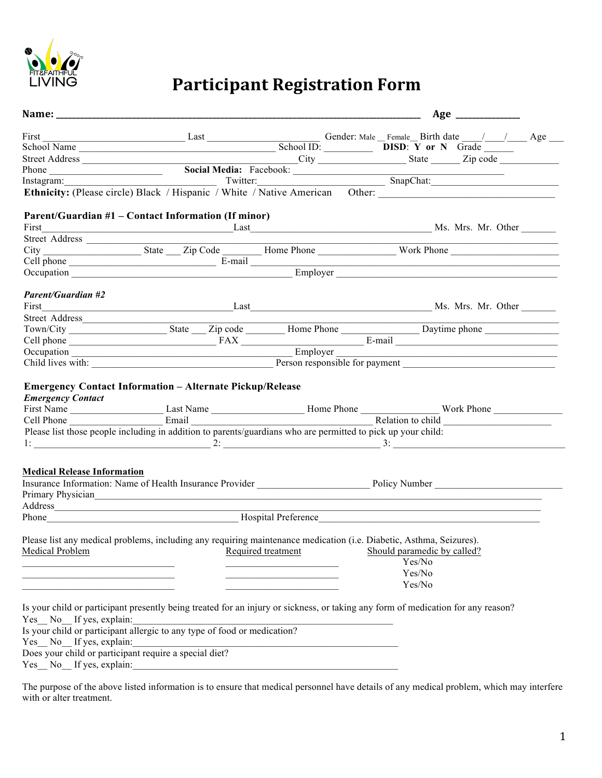

# **Participant Registration Form**

|                                                                                                                      |                                                                                                                     |                                                                                                                       | Age _______________                                                                                                                                                                                                            |  |
|----------------------------------------------------------------------------------------------------------------------|---------------------------------------------------------------------------------------------------------------------|-----------------------------------------------------------------------------------------------------------------------|--------------------------------------------------------------------------------------------------------------------------------------------------------------------------------------------------------------------------------|--|
|                                                                                                                      |                                                                                                                     |                                                                                                                       |                                                                                                                                                                                                                                |  |
|                                                                                                                      |                                                                                                                     |                                                                                                                       | First Last Last Last School ID: Gender: Male Female Birth date / / Age Richard Age School Name School ID: School ID: School ID: The Male Contract of Number of School ID: School ID: The Male Contract of Number of School ID: |  |
|                                                                                                                      |                                                                                                                     |                                                                                                                       |                                                                                                                                                                                                                                |  |
|                                                                                                                      |                                                                                                                     |                                                                                                                       |                                                                                                                                                                                                                                |  |
|                                                                                                                      |                                                                                                                     |                                                                                                                       |                                                                                                                                                                                                                                |  |
|                                                                                                                      |                                                                                                                     |                                                                                                                       | Street Address<br>Phone City City City State Zip code Linstagram:<br>Instagram: Twitter: Twitter: ShapChat: Chinicity: (Please circle) Black / Hispanic / White / Native American Other:                                       |  |
|                                                                                                                      |                                                                                                                     |                                                                                                                       |                                                                                                                                                                                                                                |  |
|                                                                                                                      | Parent/Guardian #1 – Contact Information (If minor)                                                                 |                                                                                                                       |                                                                                                                                                                                                                                |  |
|                                                                                                                      |                                                                                                                     |                                                                                                                       |                                                                                                                                                                                                                                |  |
|                                                                                                                      |                                                                                                                     |                                                                                                                       |                                                                                                                                                                                                                                |  |
|                                                                                                                      |                                                                                                                     |                                                                                                                       |                                                                                                                                                                                                                                |  |
|                                                                                                                      |                                                                                                                     |                                                                                                                       |                                                                                                                                                                                                                                |  |
|                                                                                                                      |                                                                                                                     |                                                                                                                       | Occupation Employer Employer                                                                                                                                                                                                   |  |
|                                                                                                                      |                                                                                                                     |                                                                                                                       |                                                                                                                                                                                                                                |  |
|                                                                                                                      |                                                                                                                     |                                                                                                                       |                                                                                                                                                                                                                                |  |
| <b>Parent/Guardian #2</b>                                                                                            |                                                                                                                     |                                                                                                                       |                                                                                                                                                                                                                                |  |
|                                                                                                                      |                                                                                                                     |                                                                                                                       |                                                                                                                                                                                                                                |  |
|                                                                                                                      |                                                                                                                     |                                                                                                                       |                                                                                                                                                                                                                                |  |
|                                                                                                                      |                                                                                                                     |                                                                                                                       | Town/City State Zip code Home Phone Daytime phone Daytime phone Cell phone Daytime phone                                                                                                                                       |  |
|                                                                                                                      |                                                                                                                     |                                                                                                                       |                                                                                                                                                                                                                                |  |
|                                                                                                                      |                                                                                                                     |                                                                                                                       |                                                                                                                                                                                                                                |  |
|                                                                                                                      |                                                                                                                     |                                                                                                                       |                                                                                                                                                                                                                                |  |
| <b>Emergency Contact</b>                                                                                             |                                                                                                                     |                                                                                                                       |                                                                                                                                                                                                                                |  |
|                                                                                                                      | Please list those people including in addition to parents/guardians who are permitted to pick up your child:        |                                                                                                                       |                                                                                                                                                                                                                                |  |
|                                                                                                                      |                                                                                                                     |                                                                                                                       |                                                                                                                                                                                                                                |  |
|                                                                                                                      |                                                                                                                     |                                                                                                                       |                                                                                                                                                                                                                                |  |
|                                                                                                                      |                                                                                                                     |                                                                                                                       |                                                                                                                                                                                                                                |  |
| <b>Medical Release Information</b>                                                                                   |                                                                                                                     |                                                                                                                       |                                                                                                                                                                                                                                |  |
|                                                                                                                      |                                                                                                                     |                                                                                                                       |                                                                                                                                                                                                                                |  |
|                                                                                                                      |                                                                                                                     |                                                                                                                       |                                                                                                                                                                                                                                |  |
|                                                                                                                      | Address                                                                                                             |                                                                                                                       | <u> 1989 - Johann Stoff, amerikansk politiker (d. 1989)</u>                                                                                                                                                                    |  |
|                                                                                                                      |                                                                                                                     |                                                                                                                       | Phone Hospital Preference                                                                                                                                                                                                      |  |
|                                                                                                                      |                                                                                                                     |                                                                                                                       |                                                                                                                                                                                                                                |  |
|                                                                                                                      | Please list any medical problems, including any requiring maintenance medication (i.e. Diabetic, Asthma, Seizures). |                                                                                                                       |                                                                                                                                                                                                                                |  |
|                                                                                                                      | Medical Problem Required treatment Should paramedic by called?                                                      |                                                                                                                       |                                                                                                                                                                                                                                |  |
|                                                                                                                      |                                                                                                                     |                                                                                                                       | Yes/No                                                                                                                                                                                                                         |  |
| <u> 1989 - Johann John Stein, markin fan it ferstjer fan it ferstjer fan it ferstjer fan it ferstjer fan it fers</u> |                                                                                                                     | <u> 1989 - Johann John Stone, markin sanadi boʻlib bir boʻlib bir boʻlib bir boʻlib bir boʻlib bir boʻlib bir boʻ</u> | Yes/No                                                                                                                                                                                                                         |  |
| the control of the control of the control of the control of the control of                                           |                                                                                                                     | the control of the control of the control of                                                                          | Yes/No                                                                                                                                                                                                                         |  |
|                                                                                                                      |                                                                                                                     |                                                                                                                       |                                                                                                                                                                                                                                |  |
|                                                                                                                      |                                                                                                                     |                                                                                                                       | Is your child or participant presently being treated for an injury or sickness, or taking any form of medication for any reason?                                                                                               |  |
| Yes No If yes, explain:                                                                                              |                                                                                                                     |                                                                                                                       |                                                                                                                                                                                                                                |  |
|                                                                                                                      | Is your child or participant allergic to any type of food or medication?                                            |                                                                                                                       |                                                                                                                                                                                                                                |  |
| Yes No If yes, explain:                                                                                              |                                                                                                                     |                                                                                                                       |                                                                                                                                                                                                                                |  |
|                                                                                                                      | Does your child or participant require a special diet?                                                              |                                                                                                                       |                                                                                                                                                                                                                                |  |
| Yes No If yes, explain:                                                                                              |                                                                                                                     |                                                                                                                       |                                                                                                                                                                                                                                |  |
|                                                                                                                      |                                                                                                                     |                                                                                                                       |                                                                                                                                                                                                                                |  |

The purpose of the above listed information is to ensure that medical personnel have details of any medical problem, which may interfere with or alter treatment.